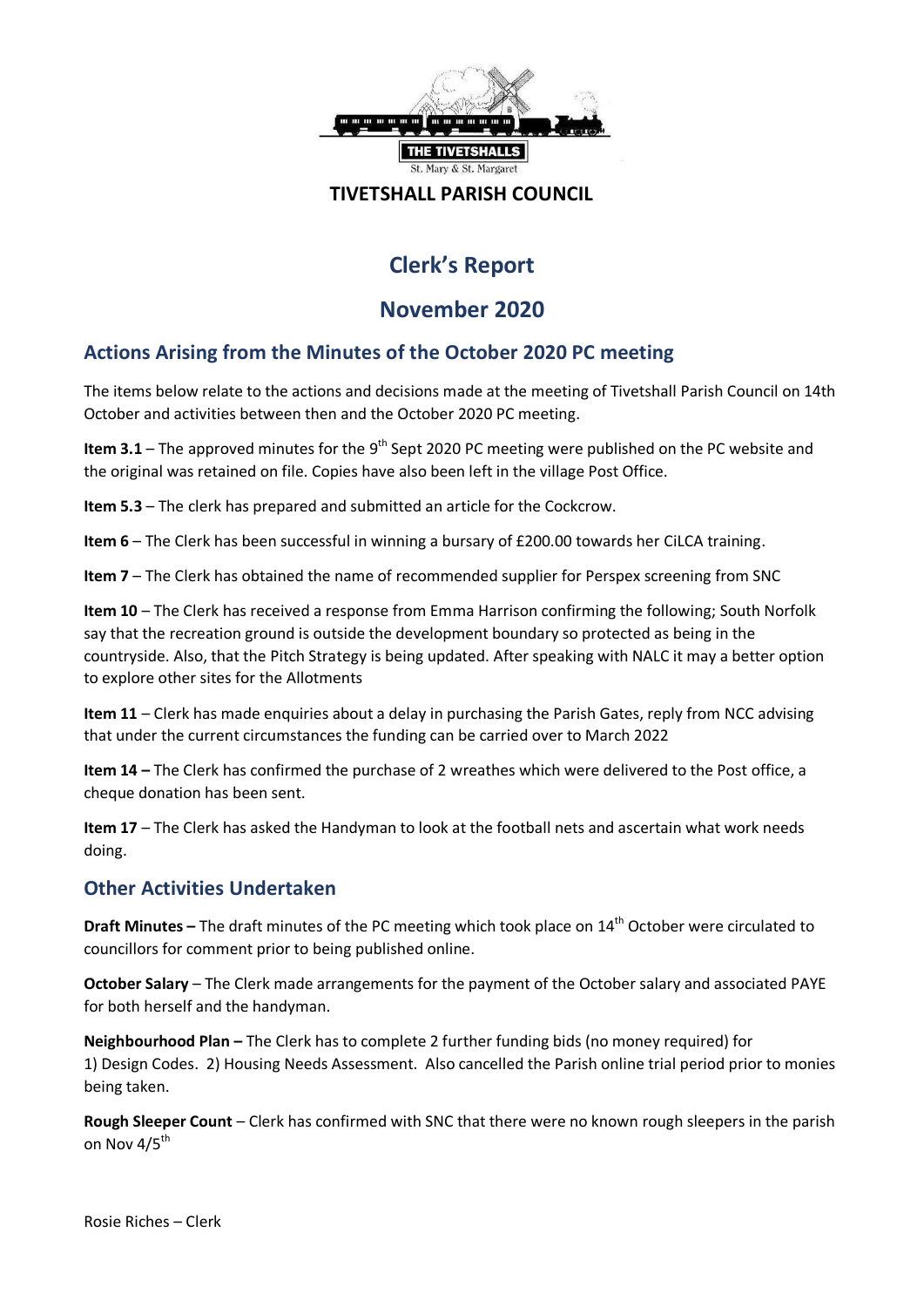

#### **TIVETSHALL PARISH COUNCIL**

# **Clerk's Report**

# **November 2020**

# **Actions Arising from the Minutes of the October 2020 PC meeting**

The items below relate to the actions and decisions made at the meeting of Tivetshall Parish Council on 14th October and activities between then and the October 2020 PC meeting.

Item 3.1 – The approved minutes for the 9<sup>th</sup> Sept 2020 PC meeting were published on the PC website and the original was retained on file. Copies have also been left in the village Post Office.

**Item 5.3** – The clerk has prepared and submitted an article for the Cockcrow.

**Item 6** – The Clerk has been successful in winning a bursary of £200.00 towards her CiLCA training.

**Item 7** – The Clerk has obtained the name of recommended supplier for Perspex screening from SNC

**Item 10** – The Clerk has received a response from Emma Harrison confirming the following; South Norfolk say that the recreation ground is outside the development boundary so protected as being in the countryside. Also, that the Pitch Strategy is being updated. After speaking with NALC it may a better option to explore other sites for the Allotments

**Item 11** – Clerk has made enquiries about a delay in purchasing the Parish Gates, reply from NCC advising that under the current circumstances the funding can be carried over to March 2022

**Item 14 –** The Clerk has confirmed the purchase of 2 wreathes which were delivered to the Post office, a cheque donation has been sent.

**Item 17** – The Clerk has asked the Handyman to look at the football nets and ascertain what work needs doing.

## **Other Activities Undertaken**

**Draft Minutes –** The draft minutes of the PC meeting which took place on 14<sup>th</sup> October were circulated to councillors for comment prior to being published online.

**October Salary** – The Clerk made arrangements for the payment of the October salary and associated PAYE for both herself and the handyman.

**Neighbourhood Plan –** The Clerk has to complete 2 further funding bids (no money required) for 1) Design Codes. 2) Housing Needs Assessment. Also cancelled the Parish online trial period prior to monies being taken.

**Rough Sleeper Count** – Clerk has confirmed with SNC that there were no known rough sleepers in the parish on Nov 4/5<sup>th</sup>